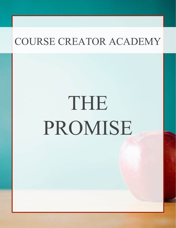# THE PROMISE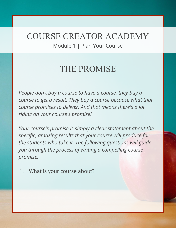Module 1 | Plan Your Course

#### THE PROMISE

*People don't buy a course to have a course, they buy a course to get a result. They buy a course because what that course promises to deliver. And that means there's a lot riding on your course's promise!*

*Your course's promise is simply a clear statement about the specific, amazing results that your course will produce for the students who take it. The following questions will guide you through the process of writing a compelling course promise.*

 $\frac{1}{2}$  ,  $\frac{1}{2}$  ,  $\frac{1}{2}$  ,  $\frac{1}{2}$  ,  $\frac{1}{2}$  ,  $\frac{1}{2}$  ,  $\frac{1}{2}$  ,  $\frac{1}{2}$  ,  $\frac{1}{2}$  ,  $\frac{1}{2}$  ,  $\frac{1}{2}$  ,  $\frac{1}{2}$  ,  $\frac{1}{2}$  ,  $\frac{1}{2}$  ,  $\frac{1}{2}$  ,  $\frac{1}{2}$  ,  $\frac{1}{2}$  ,  $\frac{1}{2}$  ,  $\frac{1$ 

 $\frac{1}{2}$  ,  $\frac{1}{2}$  ,  $\frac{1}{2}$  ,  $\frac{1}{2}$  ,  $\frac{1}{2}$  ,  $\frac{1}{2}$  ,  $\frac{1}{2}$  ,  $\frac{1}{2}$  ,  $\frac{1}{2}$  ,  $\frac{1}{2}$  ,  $\frac{1}{2}$  ,  $\frac{1}{2}$  ,  $\frac{1}{2}$  ,  $\frac{1}{2}$  ,  $\frac{1}{2}$  ,  $\frac{1}{2}$  ,  $\frac{1}{2}$  ,  $\frac{1}{2}$  ,  $\frac{1$ 

 $\mathcal{L} = \{ \mathcal{L} \in \mathcal{L} \mid \mathcal{L} \in \mathcal{L} \}$  , where  $\mathcal{L} = \{ \mathcal{L} \in \mathcal{L} \mid \mathcal{L} \in \mathcal{L} \}$  ,  $\mathcal{L} = \{ \mathcal{L} \mid \mathcal{L} \in \mathcal{L} \}$  ,  $\mathcal{L} = \{ \mathcal{L} \mid \mathcal{L} \in \mathcal{L} \}$  ,  $\mathcal{L} = \{ \mathcal{L} \mid \mathcal{L} \in \mathcal{L} \}$  ,  $\mathcal{L} = \$ 

1. What is your course about?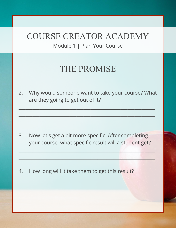Module 1 | Plan Your Course

# THE PROMISE

2. Why would someone want to take your course? What are they going to get out of it?

\_\_\_\_\_\_\_\_\_\_\_\_\_\_\_\_\_\_\_\_\_\_\_\_\_\_\_\_\_\_\_\_\_\_\_\_\_\_\_\_\_\_\_\_\_\_\_\_\_\_\_\_\_\_\_\_\_\_\_

 $\frac{1}{2}$  ,  $\frac{1}{2}$  ,  $\frac{1}{2}$  ,  $\frac{1}{2}$  ,  $\frac{1}{2}$  ,  $\frac{1}{2}$  ,  $\frac{1}{2}$  ,  $\frac{1}{2}$  ,  $\frac{1}{2}$  ,  $\frac{1}{2}$  ,  $\frac{1}{2}$  ,  $\frac{1}{2}$  ,  $\frac{1}{2}$  ,  $\frac{1}{2}$  ,  $\frac{1}{2}$  ,  $\frac{1}{2}$  ,  $\frac{1}{2}$  ,  $\frac{1}{2}$  ,  $\frac{1$ 

 $_{\rm 24}$  ,  $_{\rm 24}$  ,  $_{\rm 25}$  ,  $_{\rm 26}$  ,  $_{\rm 27}$  ,  $_{\rm 28}$  ,  $_{\rm 29}$  ,  $_{\rm 29}$  ,  $_{\rm 29}$  ,  $_{\rm 29}$  ,  $_{\rm 29}$  ,  $_{\rm 29}$  ,  $_{\rm 29}$  ,  $_{\rm 29}$ 

3. Now let's get a bit more specific. After completing your course, what specific result will a student get?

\_\_\_\_\_\_\_\_\_\_\_\_\_\_\_\_\_\_\_\_\_\_\_\_\_\_\_\_\_\_\_\_\_\_\_\_\_\_\_\_\_\_\_\_\_\_\_\_\_\_\_\_\_\_\_\_\_\_\_

 $\frac{1}{2}$  ,  $\frac{1}{2}$  ,  $\frac{1}{2}$  ,  $\frac{1}{2}$  ,  $\frac{1}{2}$  ,  $\frac{1}{2}$  ,  $\frac{1}{2}$  ,  $\frac{1}{2}$  ,  $\frac{1}{2}$  ,  $\frac{1}{2}$  ,  $\frac{1}{2}$  ,  $\frac{1}{2}$  ,  $\frac{1}{2}$  ,  $\frac{1}{2}$  ,  $\frac{1}{2}$  ,  $\frac{1}{2}$  ,  $\frac{1}{2}$  ,  $\frac{1}{2}$  ,  $\frac{1$ 

 $\frac{1}{2}$  ,  $\frac{1}{2}$  ,  $\frac{1}{2}$  ,  $\frac{1}{2}$  ,  $\frac{1}{2}$  ,  $\frac{1}{2}$  ,  $\frac{1}{2}$  ,  $\frac{1}{2}$  ,  $\frac{1}{2}$  ,  $\frac{1}{2}$  ,  $\frac{1}{2}$  ,  $\frac{1}{2}$  ,  $\frac{1}{2}$  ,  $\frac{1}{2}$  ,  $\frac{1}{2}$  ,  $\frac{1}{2}$  ,  $\frac{1}{2}$  ,  $\frac{1}{2}$  ,  $\frac{1$ 

4. How long will it take them to get this result?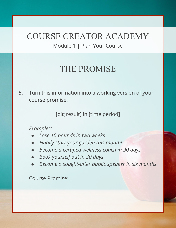Module 1 | Plan Your Course

# THE PROMISE

5. Turn this information into a working version of your course promise.

[big result] in [time period]

#### *Examples:*

- *● Lose 10 pounds in two weeks*
- *● Finally start your garden this month!*
- *● Become a certified wellness coach in 90 days*

 $\frac{1}{2}$  ,  $\frac{1}{2}$  ,  $\frac{1}{2}$  ,  $\frac{1}{2}$  ,  $\frac{1}{2}$  ,  $\frac{1}{2}$  ,  $\frac{1}{2}$  ,  $\frac{1}{2}$  ,  $\frac{1}{2}$  ,  $\frac{1}{2}$  ,  $\frac{1}{2}$  ,  $\frac{1}{2}$  ,  $\frac{1}{2}$  ,  $\frac{1}{2}$  ,  $\frac{1}{2}$  ,  $\frac{1}{2}$  ,  $\frac{1}{2}$  ,  $\frac{1}{2}$  ,  $\frac{1$ 

 $\mathcal{L} = \{ \mathcal{L} \in \mathcal{L} \mid \mathcal{L} \in \mathcal{L} \}$  , where  $\mathcal{L} = \{ \mathcal{L} \in \mathcal{L} \mid \mathcal{L} \in \mathcal{L} \}$  ,  $\mathcal{L} = \{ \mathcal{L} \mid \mathcal{L} \in \mathcal{L} \}$  ,  $\mathcal{L} = \{ \mathcal{L} \mid \mathcal{L} \in \mathcal{L} \}$  ,  $\mathcal{L} = \{ \mathcal{L} \mid \mathcal{L} \in \mathcal{L} \}$  ,  $\mathcal{L} = \$ 

- *● Book yourself out in 30 days*
- **Become a sought-after public speaker in six months**

Course Promise: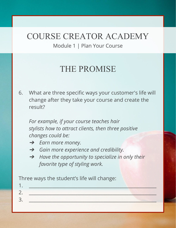Module 1 | Plan Your Course

# THE PROMISE

6. What are three specific ways your customer's life will change after they take your course and create the result?

*For example, if your course teaches hair stylists how to attract clients, then three positive changes could be:* 

- ➔ *Earn more money.*
- ➔ *Gain more experience and credibility.*
- ➔ *Have the opportunity to specialize in only their favorite type of styling work.*

Three ways the student's life will change: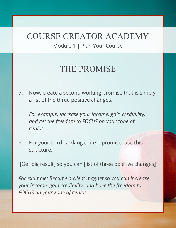Module 1 | Plan Your Course

# THE PROMISE

7. Now, create a second working promise that is simply a list of the three positive changes.

*For example: Increase your income, gain credibility, and get the freedom to FOCUS on your zone of genius.*

8. For your third working course promise, use this structure:

[Get big result] so you can [list of three positive changes]

*For example: Become a client magnet so you can increase your income, gain credibility, and have the freedom to FOCUS on your zone of genius.*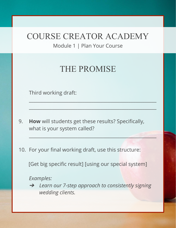Module 1 | Plan Your Course

# THE PROMISE

\_\_\_\_\_\_\_\_\_\_\_\_\_\_\_\_\_\_\_\_\_\_\_\_\_\_\_\_\_\_\_\_\_\_\_\_\_\_\_\_\_\_\_\_\_\_\_\_\_\_\_\_\_\_\_

\_\_\_\_\_\_\_\_\_\_\_\_\_\_\_\_\_\_\_\_\_\_\_\_\_\_\_\_\_\_\_\_\_\_\_\_\_\_\_\_\_\_\_\_\_\_\_\_\_\_\_\_\_\_\_

 $\mathcal{L} = \{ \mathcal{L} \mid \mathcal{L} \in \mathcal{L} \}$  , where  $\mathcal{L} = \{ \mathcal{L} \mid \mathcal{L} \in \mathcal{L} \}$  , where  $\mathcal{L} = \{ \mathcal{L} \mid \mathcal{L} \in \mathcal{L} \}$ 

Third working draft:

- 9. **How** will students get these results? Specifically, what is your system called?
- 10. For your final working draft, use this structure:

[Get big specific result] [using our special system]

*Examples:*

➔ *Learn our 7-step approach to consistently signing wedding clients.*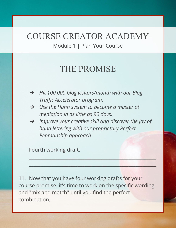Module 1 | Plan Your Course

#### THE PROMISE

- ➔ *Hit 100,000 blog visitors/month with our Blog Traffic Accelerator program.*
- $\rightarrow$  *Use the Hanh system to become a master at mediation in as little as 90 days.*
- $\rightarrow$  *Improve your creative skill and discover the joy of hand lettering with our proprietary Perfect Penmanship approach.*

 $\mathcal{L}_\mathcal{A}$  , and the set of the set of the set of the set of the set of the set of the set of the set of the set of the set of the set of the set of the set of the set of the set of the set of the set of the set of th

 $\frac{1}{2}$  ,  $\frac{1}{2}$  ,  $\frac{1}{2}$  ,  $\frac{1}{2}$  ,  $\frac{1}{2}$  ,  $\frac{1}{2}$  ,  $\frac{1}{2}$  ,  $\frac{1}{2}$  ,  $\frac{1}{2}$  ,  $\frac{1}{2}$  ,  $\frac{1}{2}$  ,  $\frac{1}{2}$  ,  $\frac{1}{2}$  ,  $\frac{1}{2}$  ,  $\frac{1}{2}$  ,  $\frac{1}{2}$  ,  $\frac{1}{2}$  ,  $\frac{1}{2}$  ,  $\frac{1$ 

Fourth working draft:

11. Now that you have four working drafts for your course promise. it's time to work on the specific wording and "mix and match" until you find the perfect combination.